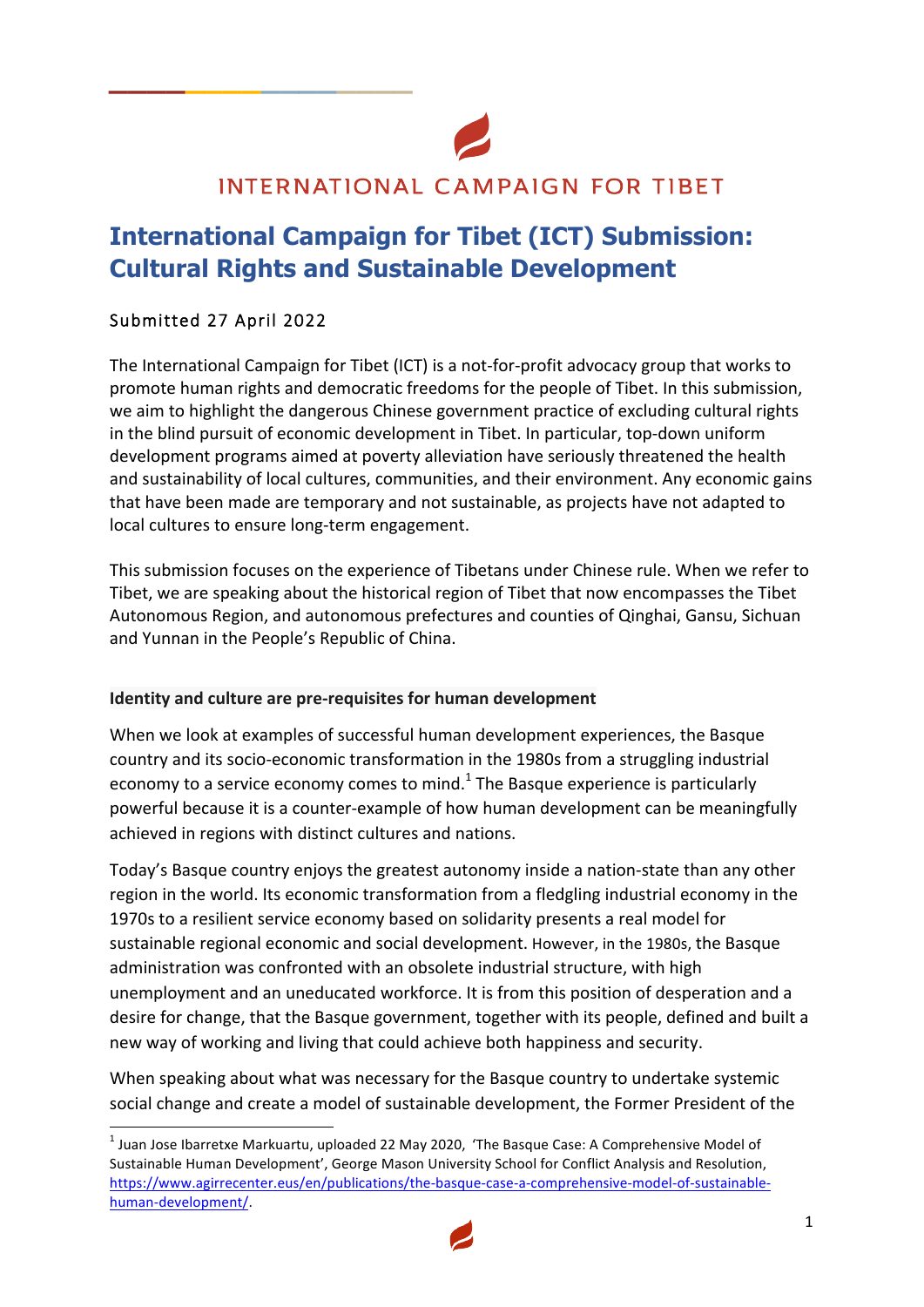# INTERNATIONAL CAMPAIGN FOR TIBET

# **International Campaign for Tibet (ICT) Submission: Cultural Rights and Sustainable Development**

## Submitted 27 April 2022

<u> 1989 - Jan Samuel Barbara, margaret e</u>

**\_\_\_\_\_\_\_\_\_\_\_\_\_\_\_\_**

The International Campaign for Tibet (ICT) is a not-for-profit advocacy group that works to promote human rights and democratic freedoms for the people of Tibet. In this submission, we aim to highlight the dangerous Chinese government practice of excluding cultural rights in the blind pursuit of economic development in Tibet. In particular, top-down uniform development programs aimed at poverty alleviation have seriously threatened the health and sustainability of local cultures, communities, and their environment. Any economic gains that have been made are temporary and not sustainable, as projects have not adapted to local cultures to ensure long-term engagement.

This submission focuses on the experience of Tibetans under Chinese rule. When we refer to Tibet, we are speaking about the historical region of Tibet that now encompasses the Tibet Autonomous Region, and autonomous prefectures and counties of Qinghai, Gansu, Sichuan and Yunnan in the People's Republic of China.

#### **Identity and culture are pre-requisites for human development**

When we look at examples of successful human development experiences, the Basque country and its socio-economic transformation in the 1980s from a struggling industrial economy to a service economy comes to mind.<sup>1</sup> The Basque experience is particularly powerful because it is a counter-example of how human development can be meaningfully achieved in regions with distinct cultures and nations.

Today's Basque country enjoys the greatest autonomy inside a nation-state than any other region in the world. Its economic transformation from a fledgling industrial economy in the 1970s to a resilient service economy based on solidarity presents a real model for sustainable regional economic and social development. However, in the 1980s, the Basque administration was confronted with an obsolete industrial structure, with high unemployment and an uneducated workforce. It is from this position of desperation and a desire for change, that the Basque government, together with its people, defined and built a new way of working and living that could achieve both happiness and security.

When speaking about what was necessary for the Basque country to undertake systemic social change and create a model of sustainable development, the Former President of the

 $<sup>1</sup>$  Juan Jose Ibarretxe Markuartu, uploaded 22 May 2020, 'The Basque Case: A Comprehensive Model of</sup> Sustainable Human Development', George Mason University School for Conflict Analysis and Resolution, https://www.agirrecenter.eus/en/publications/the-basque-case-a-comprehensive-model-of-sustainablehuman-development/. 

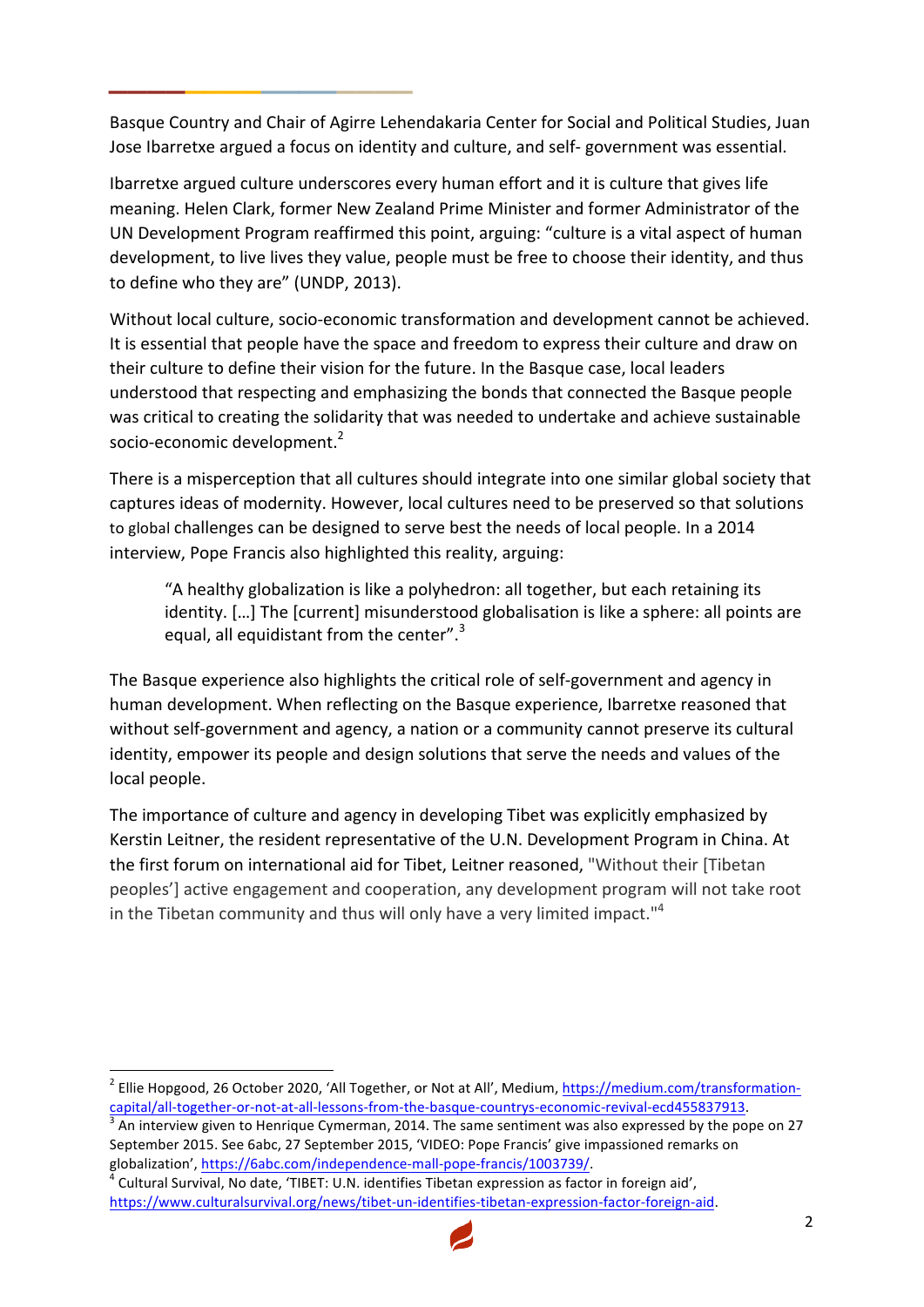Basque Country and Chair of Agirre Lehendakaria Center for Social and Political Studies, Juan Jose Ibarretxe argued a focus on identity and culture, and self- government was essential.

**\_\_\_\_\_\_\_\_\_\_\_\_\_\_\_\_**

Ibarretxe argued culture underscores every human effort and it is culture that gives life meaning. Helen Clark, former New Zealand Prime Minister and former Administrator of the UN Development Program reaffirmed this point, arguing: "culture is a vital aspect of human development, to live lives they value, people must be free to choose their identity, and thus to define who they are" (UNDP, 2013).

Without local culture, socio-economic transformation and development cannot be achieved. It is essential that people have the space and freedom to express their culture and draw on their culture to define their vision for the future. In the Basque case, local leaders understood that respecting and emphasizing the bonds that connected the Basque people was critical to creating the solidarity that was needed to undertake and achieve sustainable socio-economic development.<sup>2</sup>

There is a misperception that all cultures should integrate into one similar global society that captures ideas of modernity. However, local cultures need to be preserved so that solutions to global challenges can be designed to serve best the needs of local people. In a 2014 interview, Pope Francis also highlighted this reality, arguing:

"A healthy globalization is like a polyhedron: all together, but each retaining its identity. [...] The [current] misunderstood globalisation is like a sphere: all points are equal, all equidistant from the center". $3$ 

The Basque experience also highlights the critical role of self-government and agency in human development. When reflecting on the Basque experience, Ibarretxe reasoned that without self-government and agency, a nation or a community cannot preserve its cultural identity, empower its people and design solutions that serve the needs and values of the local people.

The importance of culture and agency in developing Tibet was explicitly emphasized by Kerstin Leitner, the resident representative of the U.N. Development Program in China. At the first forum on international aid for Tibet, Leitner reasoned, "Without their [Tibetan peoples'] active engagement and cooperation, any development program will not take root in the Tibetan community and thus will only have a very limited impact."<sup>4</sup>

https://www.culturalsurvival.org/news/tibet-un-identifies-tibetan-expression-factor-foreign-aid.



<sup>&</sup>lt;sup>2</sup> Ellie Hopgood, 26 October 2020, 'All Together, or Not at All', Medium, https://medium.com/transformationcapital/all-together-or-not-at-all-lessons-from-the-basque-countrys-economic-revival-ecd455837913.<br><sup>3</sup> An interview given to Henrique Cymerman, 2014. The same sentiment was also expressed by the pope on 27

September 2015. See 6abc, 27 September 2015, 'VIDEO: Pope Francis' give impassioned remarks on globalization', https://6abc.com/independence-mall-pope-francis/1003739/.<br><sup>4</sup> Cultural Survival, No date, 'TIBET: U.N. identifies Tibetan expression as factor in foreign aid',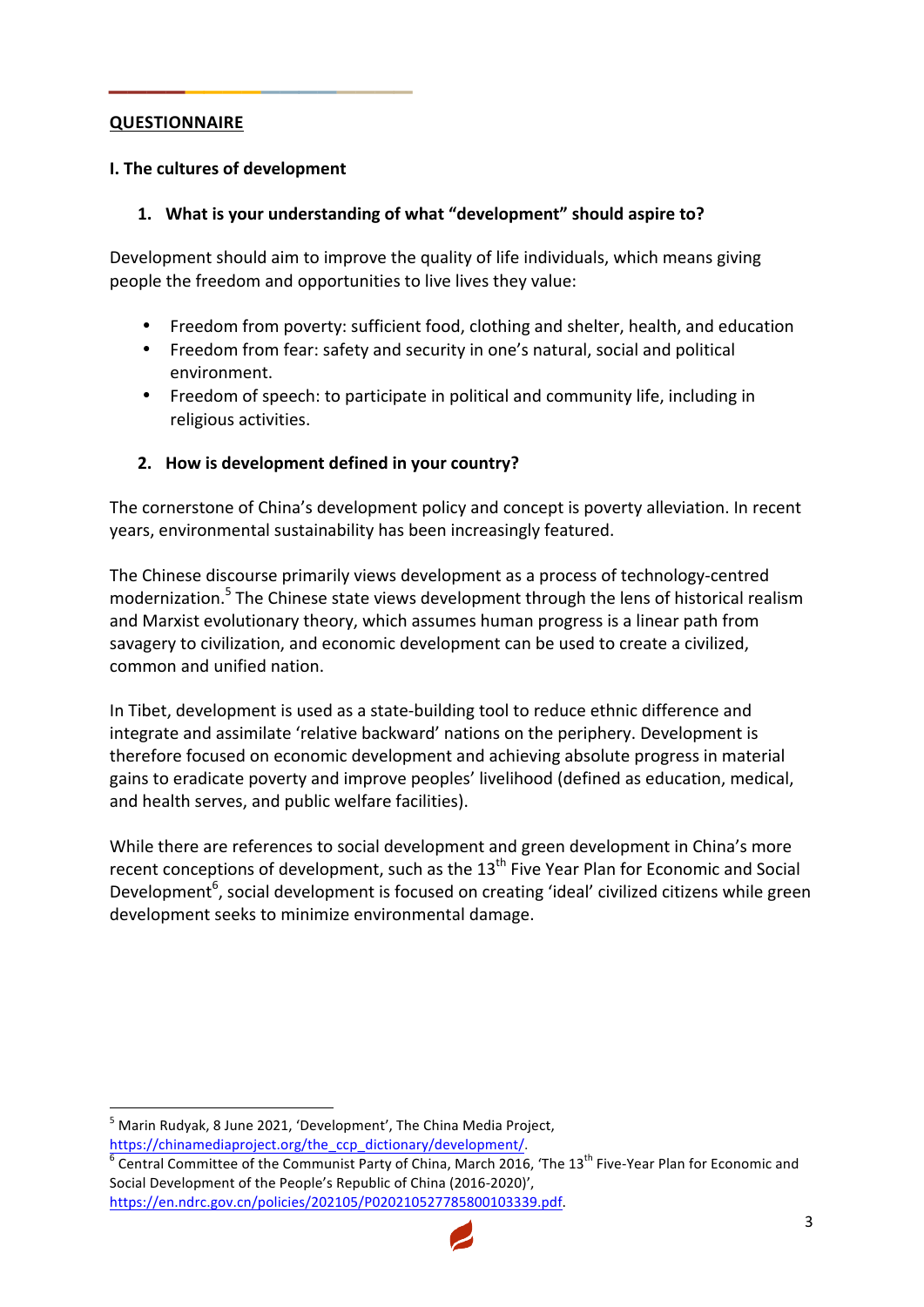#### **QUESTIONNAIRE**

#### **I. The cultures of development**

**\_\_\_\_\_\_\_\_\_\_\_\_\_\_\_\_**

#### 1. What is your understanding of what "development" should aspire to?

Development should aim to improve the quality of life individuals, which means giving people the freedom and opportunities to live lives they value:

- Freedom from poverty: sufficient food, clothing and shelter, health, and education
- Freedom from fear: safety and security in one's natural, social and political environment.
- Freedom of speech: to participate in political and community life, including in religious activities.

#### **2.** How is development defined in your country?

The cornerstone of China's development policy and concept is poverty alleviation. In recent years, environmental sustainability has been increasingly featured.

The Chinese discourse primarily views development as a process of technology-centred modernization.<sup>5</sup> The Chinese state views development through the lens of historical realism and Marxist evolutionary theory, which assumes human progress is a linear path from savagery to civilization, and economic development can be used to create a civilized, common and unified nation.

In Tibet, development is used as a state-building tool to reduce ethnic difference and integrate and assimilate 'relative backward' nations on the periphery. Development is therefore focused on economic development and achieving absolute progress in material gains to eradicate poverty and improve peoples' livelihood (defined as education, medical, and health serves, and public welfare facilities).

While there are references to social development and green development in China's more recent conceptions of development, such as the  $13<sup>th</sup>$  Five Year Plan for Economic and Social Development<sup>6</sup>, social development is focused on creating 'ideal' civilized citizens while green development seeks to minimize environmental damage.

<u> 1989 - Jan Samuel Barbara, margaret e</u>

https://chinamediaproject.org/the\_ccp\_dictionary/development/.<br>
<sup>6</sup> Central Committee of the Communist Party of China, March 2016, 'The 13<sup>th</sup> Five-Year Plan for Economic and Social Development of the People's Republic of China (2016-2020)', https://en.ndrc.gov.cn/policies/202105/P020210527785800103339.pdf. 



 $5$  Marin Rudyak, 8 June 2021, 'Development', The China Media Project,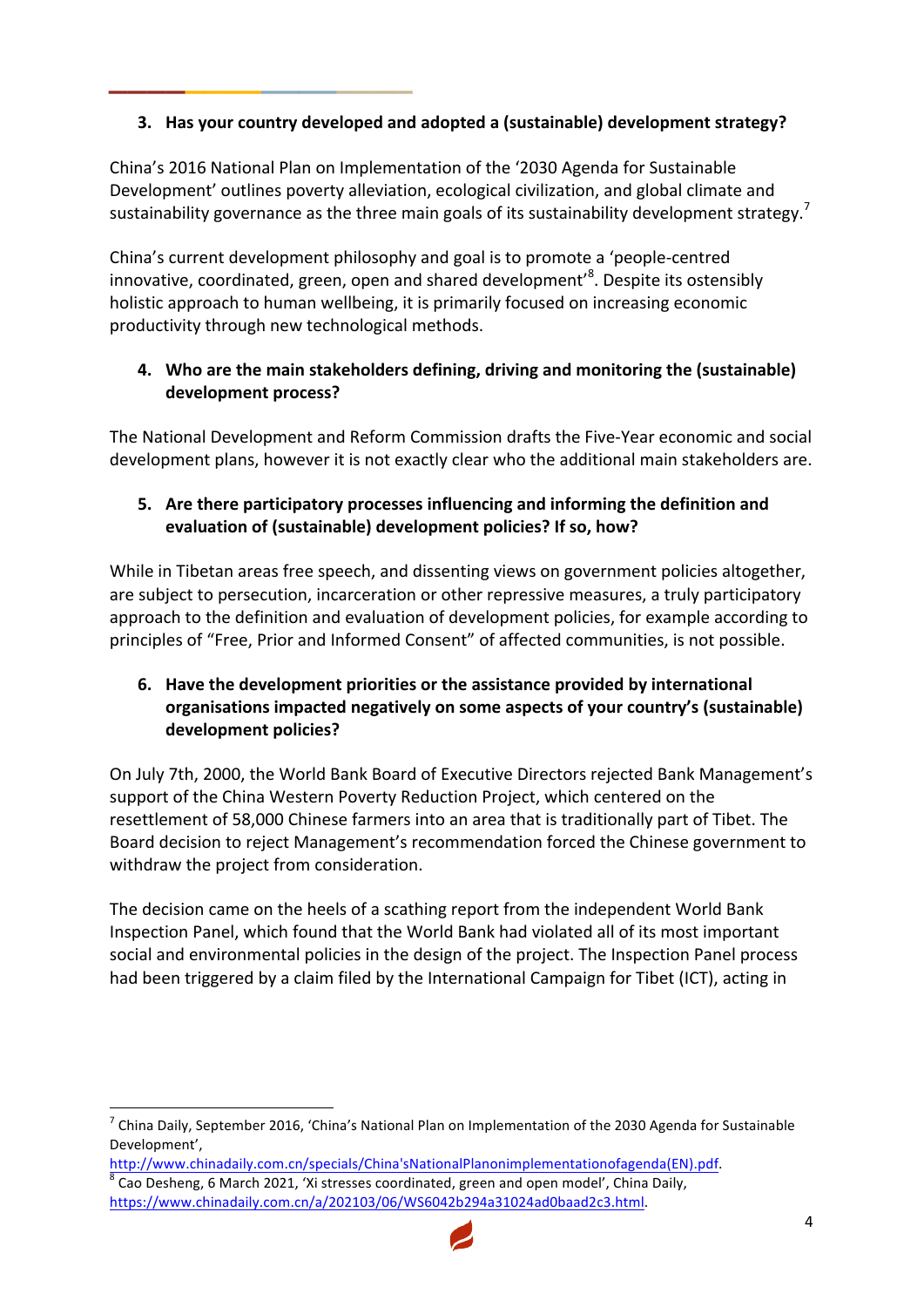# **3.** Has your country developed and adopted a (sustainable) development strategy?

**\_\_\_\_\_\_\_\_\_\_\_\_\_\_\_\_**

China's 2016 National Plan on Implementation of the '2030 Agenda for Sustainable Development' outlines poverty alleviation, ecological civilization, and global climate and sustainability governance as the three main goals of its sustainability development strategy.<sup>7</sup>

China's current development philosophy and goal is to promote a 'people-centred innovative, coordinated, green, open and shared development'<sup>8</sup>. Despite its ostensibly holistic approach to human wellbeing, it is primarily focused on increasing economic productivity through new technological methods.

# **4.** Who are the main stakeholders defining, driving and monitoring the (sustainable) **development process?**

The National Development and Reform Commission drafts the Five-Year economic and social development plans, however it is not exactly clear who the additional main stakeholders are.

# **5.** Are there participatory processes influencing and informing the definition and evaluation of (sustainable) development policies? If so, how?

While in Tibetan areas free speech, and dissenting views on government policies altogether, are subject to persecution, incarceration or other repressive measures, a truly participatory approach to the definition and evaluation of development policies, for example according to principles of "Free, Prior and Informed Consent" of affected communities, is not possible.

# **6.** Have the development priorities or the assistance provided by international organisations impacted negatively on some aspects of your country's (sustainable) **development policies?**

On July 7th, 2000, the World Bank Board of Executive Directors rejected Bank Management's support of the China Western Poverty Reduction Project, which centered on the resettlement of 58,000 Chinese farmers into an area that is traditionally part of Tibet. The Board decision to reject Management's recommendation forced the Chinese government to withdraw the project from consideration.

The decision came on the heels of a scathing report from the independent World Bank Inspection Panel, which found that the World Bank had violated all of its most important social and environmental policies in the design of the project. The Inspection Panel process had been triggered by a claim filed by the International Campaign for Tibet (ICT), acting in



 $^7$  China Daily, September 2016, 'China's National Plan on Implementation of the 2030 Agenda for Sustainable Development', 

http://www.chinadaily.com.cn/specials/China'sNationalPlanonimplementationofagenda(EN).pdf.  $8$  Cao Desheng, 6 March 2021, 'Xi stresses coordinated, green and open model', China Daily,

https://www.chinadaily.com.cn/a/202103/06/WS6042b294a31024ad0baad2c3.html.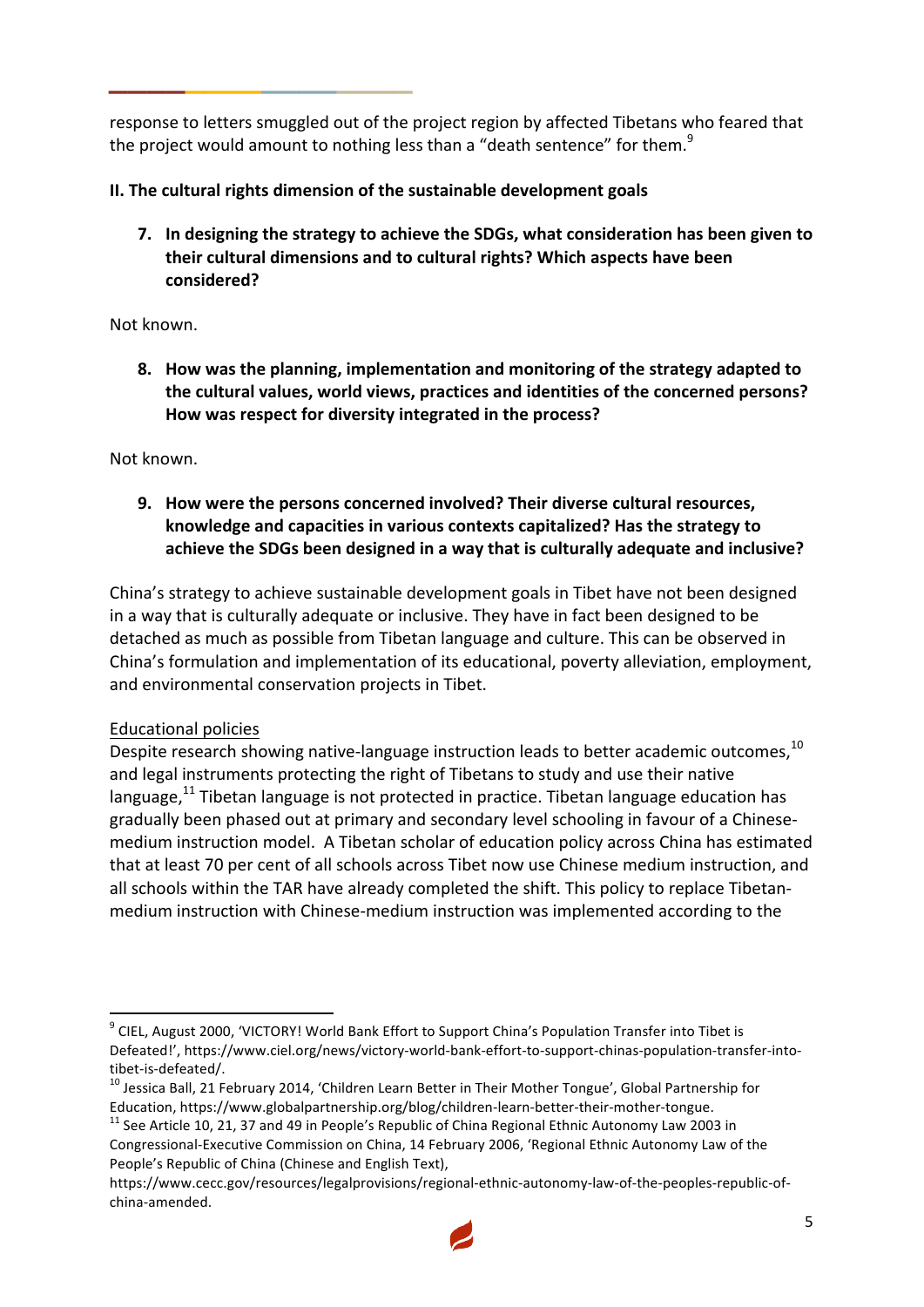response to letters smuggled out of the project region by affected Tibetans who feared that the project would amount to nothing less than a "death sentence" for them.<sup>9</sup>

# **II.** The cultural rights dimension of the sustainable development goals

**\_\_\_\_\_\_\_\_\_\_\_\_\_\_\_\_**

7. In designing the strategy to achieve the SDGs, what consideration has been given to their cultural dimensions and to cultural rights? Which aspects have been **considered?**

### Not known.

**8.** How was the planning, implementation and monitoring of the strategy adapted to the cultural values, world views, practices and identities of the concerned persons? How was respect for diversity integrated in the process?

Not known

**9.** How were the persons concerned involved? Their diverse cultural resources, knowledge and capacities in various contexts capitalized? Has the strategy to achieve the SDGs been designed in a way that is culturally adequate and inclusive?

China's strategy to achieve sustainable development goals in Tibet have not been designed in a way that is culturally adequate or inclusive. They have in fact been designed to be detached as much as possible from Tibetan language and culture. This can be observed in China's formulation and implementation of its educational, poverty alleviation, employment, and environmental conservation projects in Tibet.

# Educational policies

Despite research showing native-language instruction leads to better academic outcomes,  $^{10}$ and legal instruments protecting the right of Tibetans to study and use their native language, $^{11}$  Tibetan language is not protected in practice. Tibetan language education has gradually been phased out at primary and secondary level schooling in favour of a Chinesemedium instruction model. A Tibetan scholar of education policy across China has estimated that at least 70 per cent of all schools across Tibet now use Chinese medium instruction, and all schools within the TAR have already completed the shift. This policy to replace Tibetanmedium instruction with Chinese-medium instruction was implemented according to the

  $9$  CIEL. August 2000, 'VICTORY! World Bank Effort to Support China's Population Transfer into Tibet is Defeated!', https://www.ciel.org/news/victory-world-bank-effort-to-support-chinas-population-transfer-into-

tibet-is-defeated/.<br><sup>10</sup> Jessica Ball, 21 February 2014, 'Children Learn Better in Their Mother Tongue', Global Partnership for<br>Education, https://www.globalpartnership.org/blog/children-learn-better-their-mother-tongue.

 $^{11}$  See Article 10, 21, 37 and 49 in People's Republic of China Regional Ethnic Autonomy Law 2003 in Congressional-Executive Commission on China, 14 February 2006, 'Regional Ethnic Autonomy Law of the People's Republic of China (Chinese and English Text),

https://www.cecc.gov/resources/legalprovisions/regional-ethnic-autonomy-law-of-the-peoples-republic-ofchina-amended.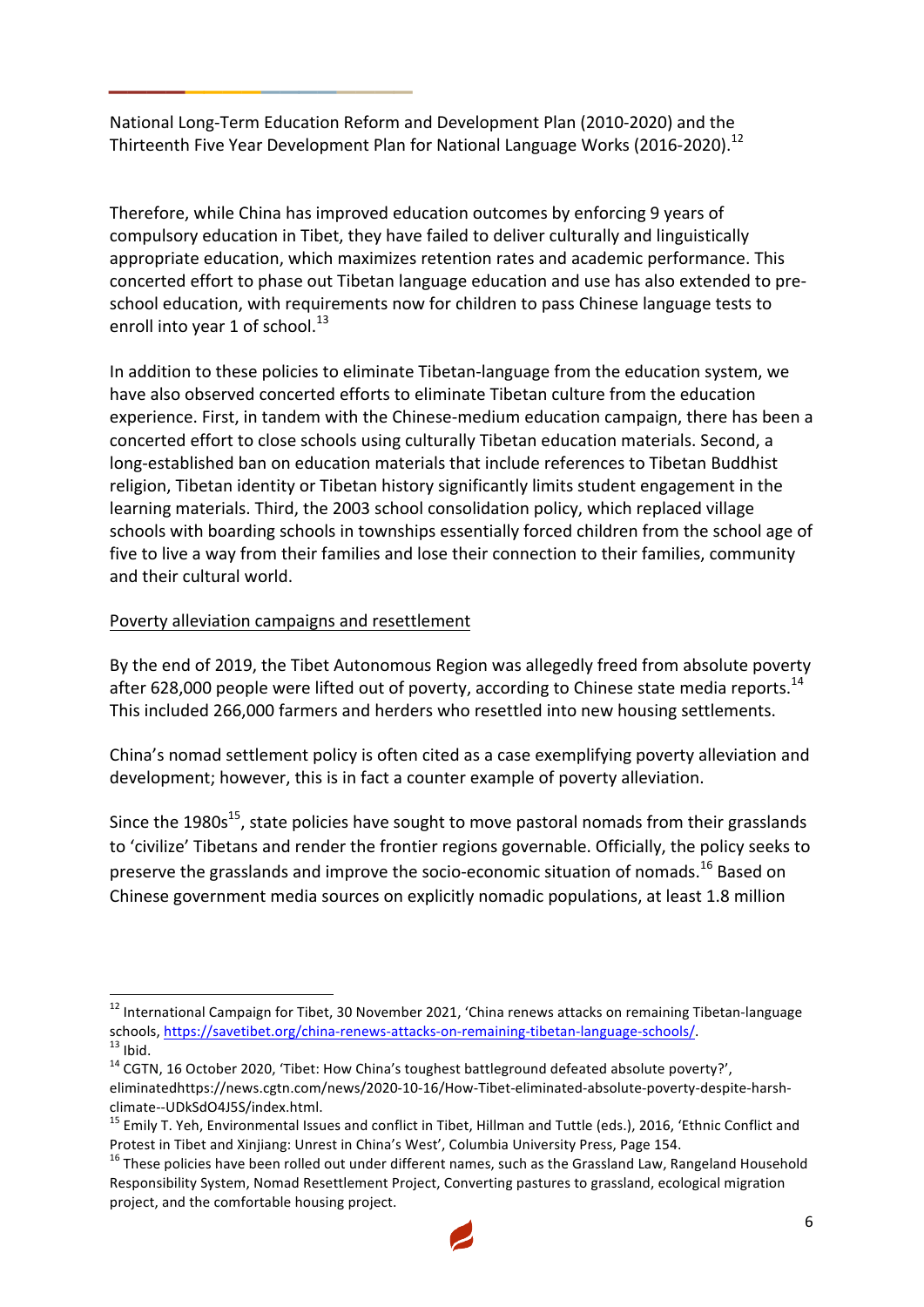National Long-Term Education Reform and Development Plan (2010-2020) and the Thirteenth Five Year Development Plan for National Language Works (2016-2020).<sup>12</sup>

Therefore, while China has improved education outcomes by enforcing 9 years of compulsory education in Tibet, they have failed to deliver culturally and linguistically appropriate education, which maximizes retention rates and academic performance. This concerted effort to phase out Tibetan language education and use has also extended to preschool education, with requirements now for children to pass Chinese language tests to enroll into year 1 of school. $^{13}$ 

In addition to these policies to eliminate Tibetan-language from the education system, we have also observed concerted efforts to eliminate Tibetan culture from the education experience. First, in tandem with the Chinese-medium education campaign, there has been a concerted effort to close schools using culturally Tibetan education materials. Second, a long-established ban on education materials that include references to Tibetan Buddhist religion, Tibetan identity or Tibetan history significantly limits student engagement in the learning materials. Third, the 2003 school consolidation policy, which replaced village schools with boarding schools in townships essentially forced children from the school age of five to live a way from their families and lose their connection to their families, community and their cultural world.

# Poverty alleviation campaigns and resettlement

**\_\_\_\_\_\_\_\_\_\_\_\_\_\_\_\_**

By the end of 2019, the Tibet Autonomous Region was allegedly freed from absolute poverty after 628,000 people were lifted out of poverty, according to Chinese state media reports.<sup>14</sup> This included 266,000 farmers and herders who resettled into new housing settlements.

China's nomad settlement policy is often cited as a case exemplifying poverty alleviation and development; however, this is in fact a counter example of poverty alleviation.

Since the 1980s<sup>15</sup>, state policies have sought to move pastoral nomads from their grasslands to 'civilize' Tibetans and render the frontier regions governable. Officially, the policy seeks to preserve the grasslands and improve the socio-economic situation of nomads.<sup>16</sup> Based on Chinese government media sources on explicitly nomadic populations, at least 1.8 million

 $^{12}$  International Campaign for Tibet, 30 November 2021, 'China renews attacks on remaining Tibetan-language schools, https://savetibet.org/china-renews-attacks-on-remaining-tibetan-language-schools/.<br><sup>13</sup> Ibid.<br><sup>14</sup> CGTN, 16 October 2020, 'Tibet: How China's toughest battleground defeated absolute poverty?',

eliminatedhttps://news.cgtn.com/news/2020-10-16/How-Tibet-eliminated-absolute-poverty-despite-harshclimate--UDkSdO4J5S/index.html.<br><sup>15</sup> Emily T. Yeh, Environmental Issues and conflict in Tibet, Hillman and Tuttle (eds.), 2016, 'Ethnic Conflict and

Protest in Tibet and Xinjiang: Unrest in China's West', Columbia University Press, Page 154. 16 These policies have been rolled out under different names, such as the Grassland Law, Rangeland Household

Responsibility System, Nomad Resettlement Project, Converting pastures to grassland, ecological migration project, and the comfortable housing project.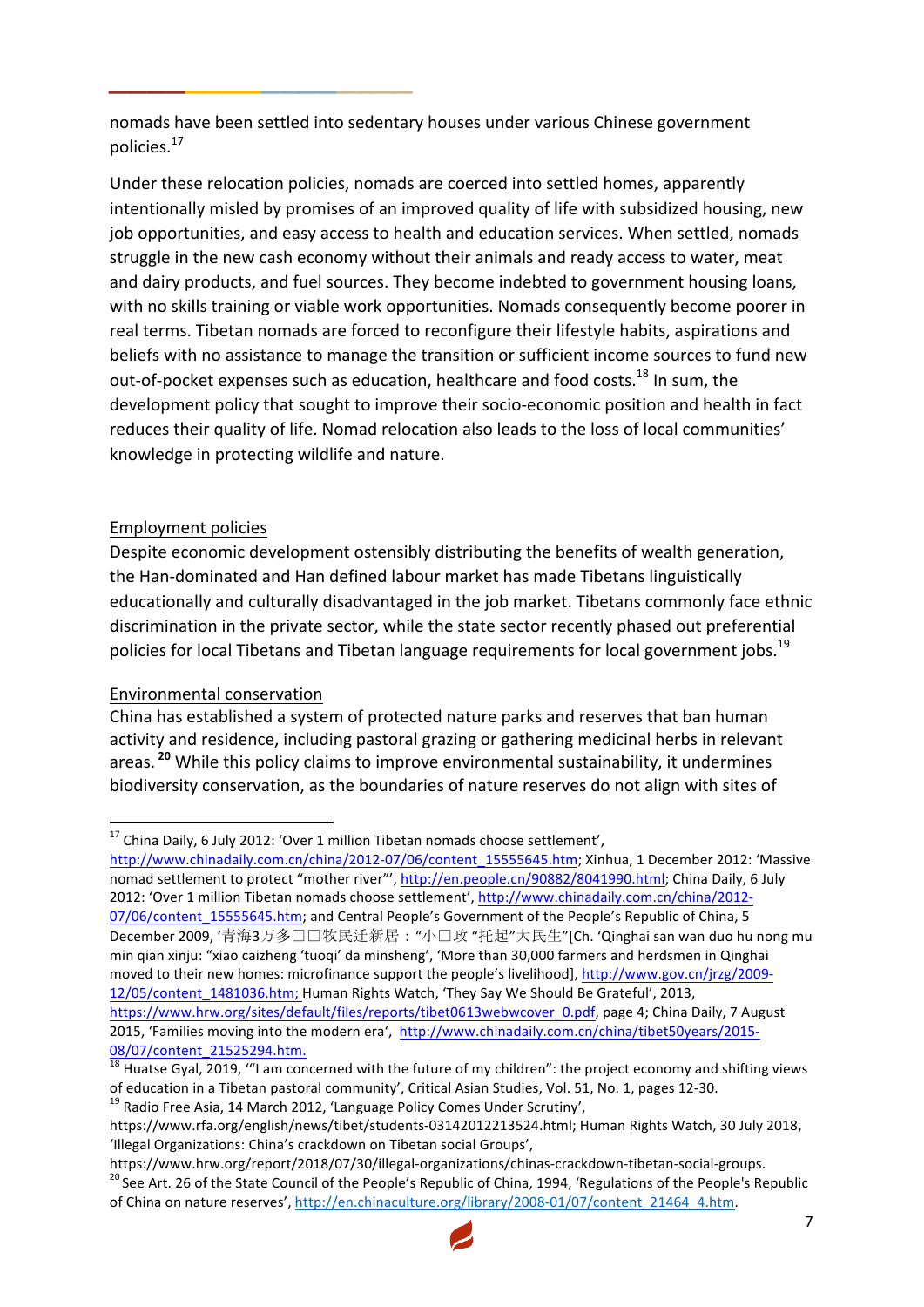nomads have been settled into sedentary houses under various Chinese government policies.17

Under these relocation policies, nomads are coerced into settled homes, apparently intentionally misled by promises of an improved quality of life with subsidized housing, new job opportunities, and easy access to health and education services. When settled, nomads struggle in the new cash economy without their animals and ready access to water, meat and dairy products, and fuel sources. They become indebted to government housing loans, with no skills training or viable work opportunities. Nomads consequently become poorer in real terms. Tibetan nomads are forced to reconfigure their lifestyle habits, aspirations and beliefs with no assistance to manage the transition or sufficient income sources to fund new out-of-pocket expenses such as education, healthcare and food costs.<sup>18</sup> In sum, the development policy that sought to improve their socio-economic position and health in fact reduces their quality of life. Nomad relocation also leads to the loss of local communities' knowledge in protecting wildlife and nature.

#### Employment policies

**\_\_\_\_\_\_\_\_\_\_\_\_\_\_\_\_**

Despite economic development ostensibly distributing the benefits of wealth generation, the Han-dominated and Han defined labour market has made Tibetans linguistically educationally and culturally disadvantaged in the job market. Tibetans commonly face ethnic discrimination in the private sector, while the state sector recently phased out preferential policies for local Tibetans and Tibetan language requirements for local government jobs.<sup>19</sup>

#### Environmental conservation

<u> 1989 - Jan Samuel Barbara, margaret e</u>

China has established a system of protected nature parks and reserves that ban human activity and residence, including pastoral grazing or gathering medicinal herbs in relevant areas.<sup>20</sup> While this policy claims to improve environmental sustainability, it undermines biodiversity conservation, as the boundaries of nature reserves do not align with sites of

http://www.chinadaily.com.cn/china/2012-07/06/content\_15555645.htm; Xinhua, 1 December 2012: 'Massive nomad settlement to protect "mother river"', http://en.people.cn/90882/8041990.html; China Daily, 6 July 2012: 'Over 1 million Tibetan nomads choose settlement', http://www.chinadaily.com.cn/china/2012-07/06/content\_15555645.htm; and Central People's Government of the People's Republic of China, 5 December 2009, '青海3万多口口牧民迁新居: "小口政 "托起"大民生"[Ch. 'Qinghai san wan duo hu nong mu min qian xinju: "xiao caizheng 'tuoqi' da minsheng', 'More than 30,000 farmers and herdsmen in Qinghai moved to their new homes: microfinance support the people's livelihood], http://www.gov.cn/jrzg/2009-12/05/content 1481036.htm; Human Rights Watch, 'They Say We Should Be Grateful', 2013, https://www.hrw.org/sites/default/files/reports/tibet0613webwcover\_0.pdf, page 4; China Daily, 7 August 2015, 'Families moving into the modern era', http://www.chinadaily.com.cn/china/tibet50years/2015-

https://www.hrw.org/report/2018/07/30/illegal-organizations/chinas-crackdown-tibetan-social-groups.<br><sup>20</sup> See Art. 26 of the State Council of the People's Republic of China, 1994, 'Regulations of the People's Republic of China on nature reserves', http://en.chinaculture.org/library/2008-01/07/content\_21464\_4.htm.



<sup>&</sup>lt;sup>17</sup> China Daily, 6 July 2012: 'Over 1 million Tibetan nomads choose settlement',

<sup>08/07/</sup>content\_21525294.htm.<br><sup>18</sup> Huatse Gyal, 2019, "I am concerned with the future of my children": the project economy and shifting views of education in a Tibetan pastoral community', Critical Asian Studies, Vol. 51, No. 1, pages 12-30.<br><sup>19</sup> Radio Free Asia, 14 March 2012, 'Language Policy Comes Under Scrutiny',

https://www.rfa.org/english/news/tibet/students-03142012213524.html; Human Rights Watch, 30 July 2018, 'Illegal Organizations: China's crackdown on Tibetan social Groups',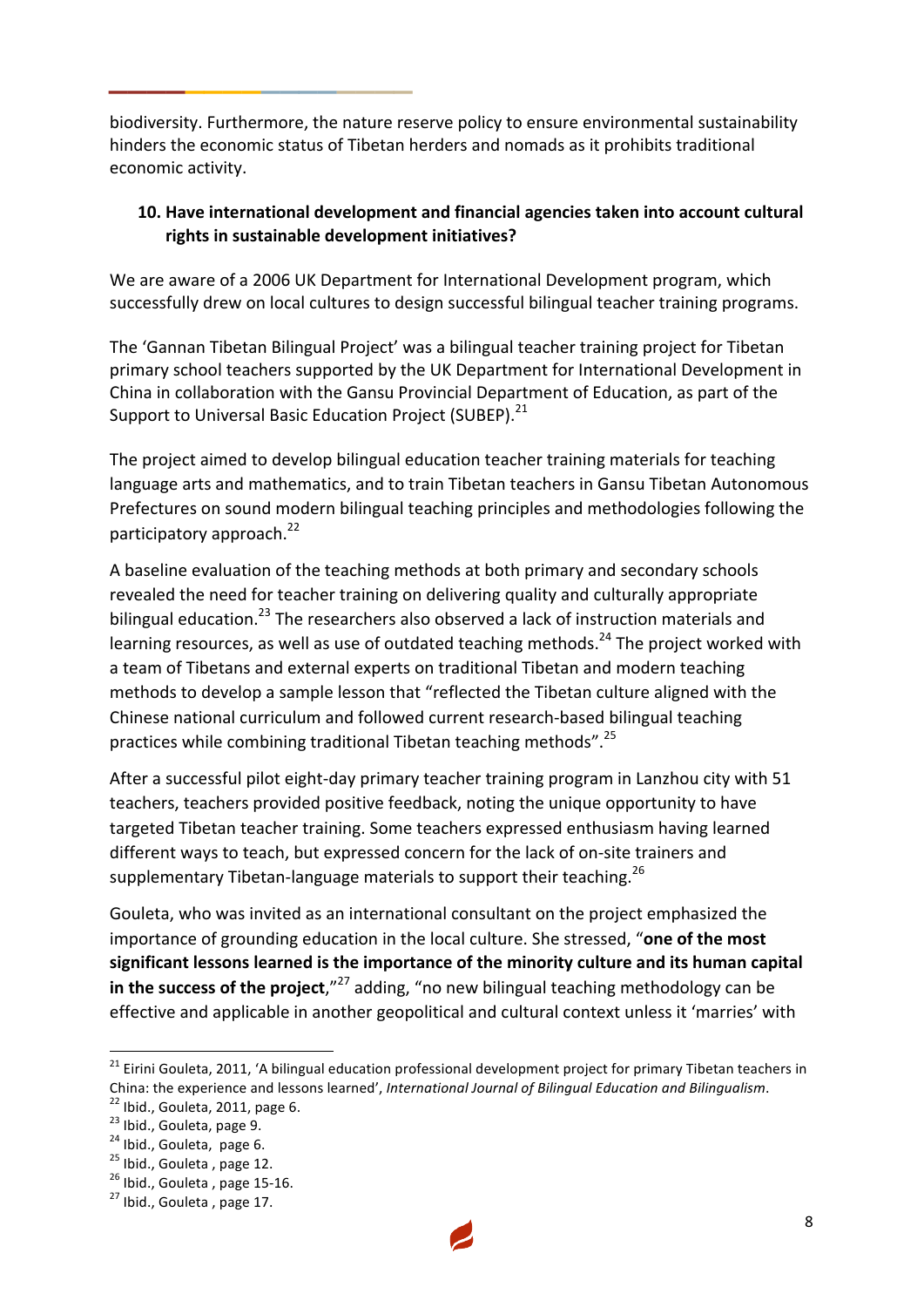biodiversity. Furthermore, the nature reserve policy to ensure environmental sustainability hinders the economic status of Tibetan herders and nomads as it prohibits traditional economic activity.

**\_\_\_\_\_\_\_\_\_\_\_\_\_\_\_\_**

### **10.** Have international development and financial agencies taken into account cultural rights in sustainable development initiatives?

We are aware of a 2006 UK Department for International Development program, which successfully drew on local cultures to design successful bilingual teacher training programs.

The 'Gannan Tibetan Bilingual Project' was a bilingual teacher training project for Tibetan primary school teachers supported by the UK Department for International Development in China in collaboration with the Gansu Provincial Department of Education, as part of the Support to Universal Basic Education Project (SUBEP).<sup>21</sup>

The project aimed to develop bilingual education teacher training materials for teaching language arts and mathematics, and to train Tibetan teachers in Gansu Tibetan Autonomous Prefectures on sound modern bilingual teaching principles and methodologies following the participatory approach.<sup>22</sup>

A baseline evaluation of the teaching methods at both primary and secondary schools revealed the need for teacher training on delivering quality and culturally appropriate bilingual education.<sup>23</sup> The researchers also observed a lack of instruction materials and learning resources, as well as use of outdated teaching methods.<sup>24</sup> The project worked with a team of Tibetans and external experts on traditional Tibetan and modern teaching methods to develop a sample lesson that "reflected the Tibetan culture aligned with the Chinese national curriculum and followed current research-based bilingual teaching practices while combining traditional Tibetan teaching methods".<sup>25</sup>

After a successful pilot eight-day primary teacher training program in Lanzhou city with 51 teachers, teachers provided positive feedback, noting the unique opportunity to have targeted Tibetan teacher training. Some teachers expressed enthusiasm having learned different ways to teach, but expressed concern for the lack of on-site trainers and supplementary Tibetan-language materials to support their teaching.<sup>26</sup>

Gouleta, who was invited as an international consultant on the project emphasized the importance of grounding education in the local culture. She stressed, "one of the most significant lessons learned is the importance of the minority culture and its human capital in the success of the project,"<sup>27</sup> adding, "no new bilingual teaching methodology can be effective and applicable in another geopolitical and cultural context unless it 'marries' with



 $^{21}$  Eirini Gouleta, 2011, 'A bilingual education professional development project for primary Tibetan teachers in China: the experience and lessons learned', International Journal of Bilingual Education and Bilingualism.<br>
<sup>22</sup> Ibid., Gouleta, 2011, page 6.<br>
<sup>23</sup> Ibid., Gouleta, page 9.<br>
<sup>24</sup> Ibid., Gouleta, page 6.<br>
<sup>25</sup> Ibid., Goule